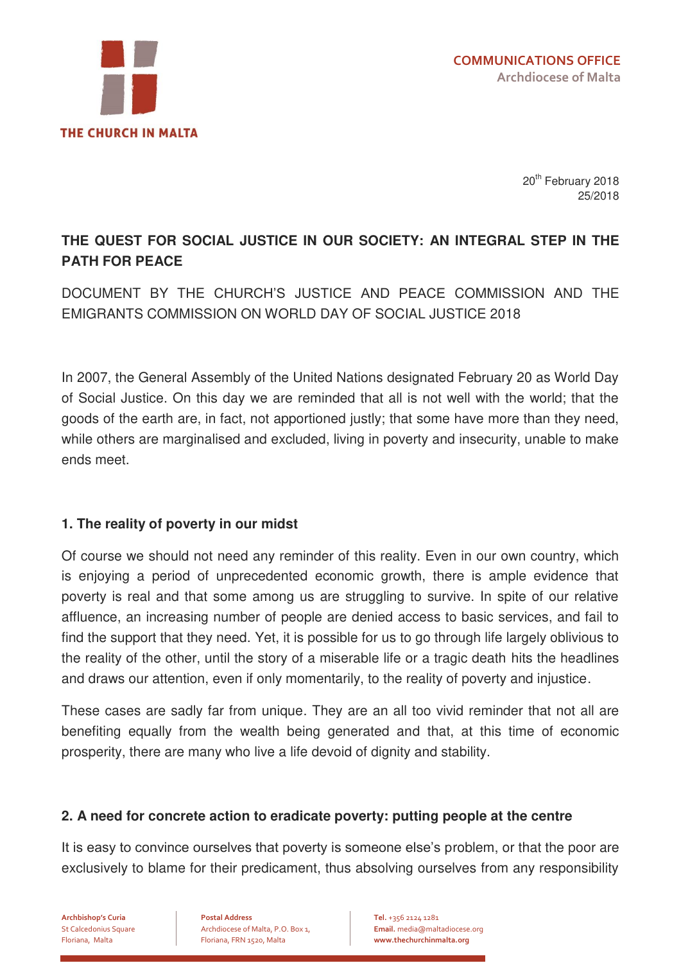

20<sup>th</sup> February 2018 25/2018

# **THE QUEST FOR SOCIAL JUSTICE IN OUR SOCIETY: AN INTEGRAL STEP IN THE PATH FOR PEACE**

DOCUMENT BY THE CHURCH"S JUSTICE AND PEACE COMMISSION AND THE EMIGRANTS COMMISSION ON WORLD DAY OF SOCIAL JUSTICE 2018

In 2007, the General Assembly of the United Nations designated February 20 as World Day of Social Justice. On this day we are reminded that all is not well with the world; that the goods of the earth are, in fact, not apportioned justly; that some have more than they need, while others are marginalised and excluded, living in poverty and insecurity, unable to make ends meet.

#### **1. The reality of poverty in our midst**

Of course we should not need any reminder of this reality. Even in our own country, which is enjoying a period of unprecedented economic growth, there is ample evidence that poverty is real and that some among us are struggling to survive. In spite of our relative affluence, an increasing number of people are denied access to basic services, and fail to find the support that they need. Yet, it is possible for us to go through life largely oblivious to the reality of the other, until the story of a miserable life or a tragic death hits the headlines and draws our attention, even if only momentarily, to the reality of poverty and injustice.

These cases are sadly far from unique. They are an all too vivid reminder that not all are benefiting equally from the wealth being generated and that, at this time of economic prosperity, there are many who live a life devoid of dignity and stability.

#### **2. A need for concrete action to eradicate poverty: putting people at the centre**

It is easy to convince ourselves that poverty is someone else"s problem, or that the poor are exclusively to blame for their predicament, thus absolving ourselves from any responsibility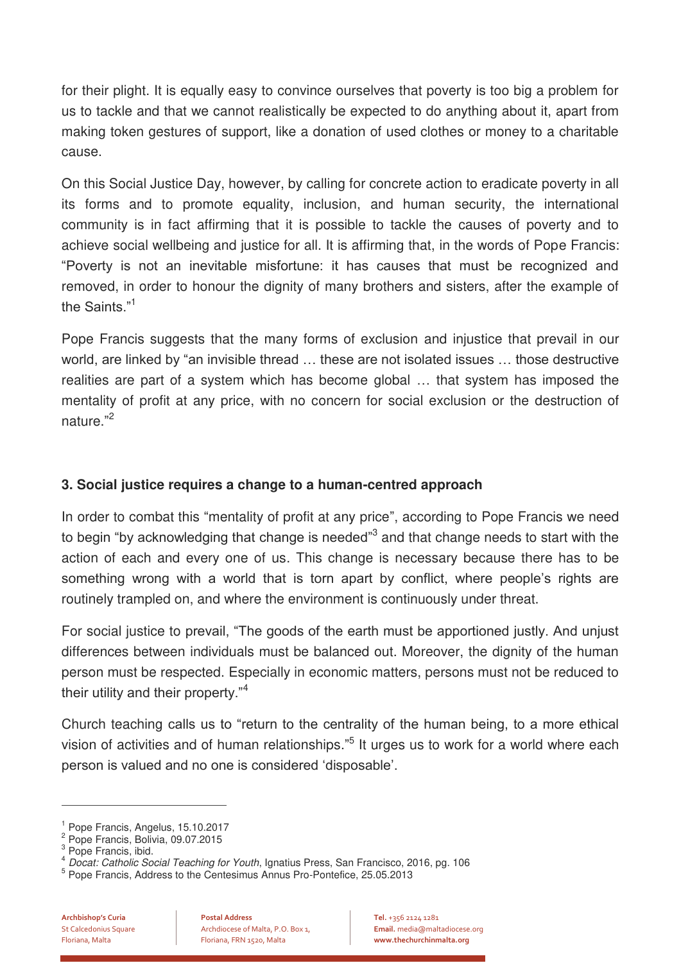for their plight. It is equally easy to convince ourselves that poverty is too big a problem for us to tackle and that we cannot realistically be expected to do anything about it, apart from making token gestures of support, like a donation of used clothes or money to a charitable cause.

On this Social Justice Day, however, by calling for concrete action to eradicate poverty in all its forms and to promote equality, inclusion, and human security, the international community is in fact affirming that it is possible to tackle the causes of poverty and to achieve social wellbeing and justice for all. It is affirming that, in the words of Pope Francis: "Poverty is not an inevitable misfortune: it has causes that must be recognized and removed, in order to honour the dignity of many brothers and sisters, after the example of the Saints."<sup>1</sup>

Pope Francis suggests that the many forms of exclusion and injustice that prevail in our world, are linked by "an invisible thread … these are not isolated issues … those destructive realities are part of a system which has become global … that system has imposed the mentality of profit at any price, with no concern for social exclusion or the destruction of nature."<sup>2</sup>

# **3. Social justice requires a change to a human-centred approach**

In order to combat this "mentality of profit at any price", according to Pope Francis we need to begin "by acknowledging that change is needed"<sup>3</sup> and that change needs to start with the action of each and every one of us. This change is necessary because there has to be something wrong with a world that is torn apart by conflict, where people's rights are routinely trampled on, and where the environment is continuously under threat.

For social justice to prevail, "The goods of the earth must be apportioned justly. And unjust differences between individuals must be balanced out. Moreover, the dignity of the human person must be respected. Especially in economic matters, persons must not be reduced to their utility and their property."<sup>4</sup>

Church teaching calls us to "return to the centrality of the human being, to a more ethical vision of activities and of human relationships."<sup>5</sup> It urges us to work for a world where each person is valued and no one is considered "disposable".

<sup>1</sup> Pope Francis, Angelus, 15.10.2017

<sup>2</sup> Pope Francis, Bolivia, 09.07.2015

<sup>&</sup>lt;sup>3</sup> Pope Francis, ibid.

<sup>4</sup> *Docat: Catholic Social Teaching for Youth*, Ignatius Press, San Francisco, 2016, pg. 106

<sup>5</sup> Pope Francis, Address to the Centesimus Annus Pro-Pontefice, 25.05.2013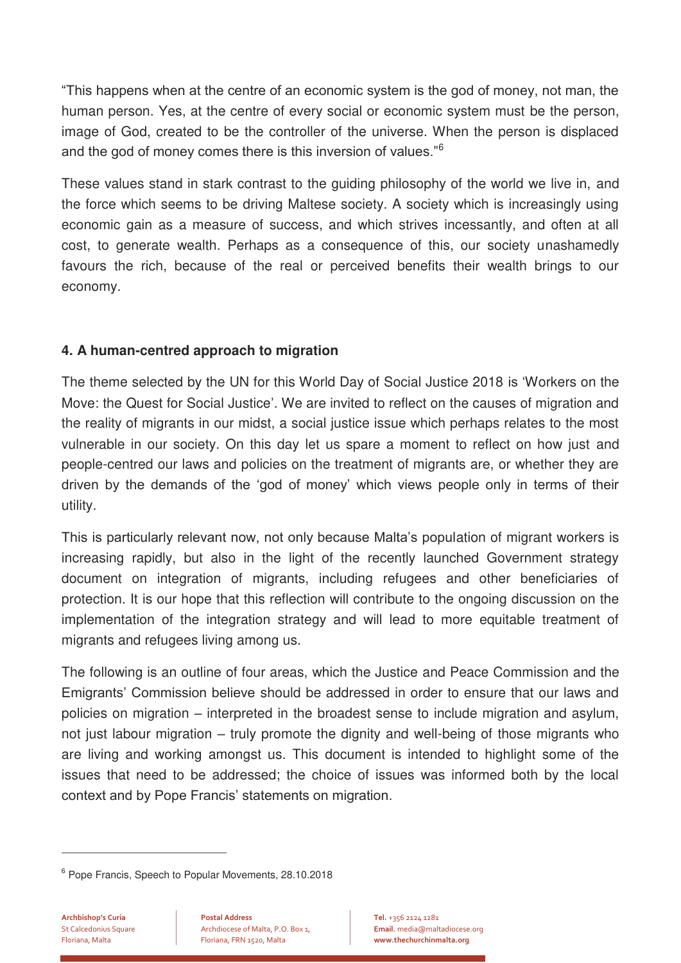"This happens when at the centre of an economic system is the god of money, not man, the human person. Yes, at the centre of every social or economic system must be the person, image of God, created to be the controller of the universe. When the person is displaced and the god of money comes there is this inversion of values."<sup>6</sup>

These values stand in stark contrast to the guiding philosophy of the world we live in, and the force which seems to be driving Maltese society. A society which is increasingly using economic gain as a measure of success, and which strives incessantly, and often at all cost, to generate wealth. Perhaps as a consequence of this, our society unashamedly favours the rich, because of the real or perceived benefits their wealth brings to our economy.

#### **4. A human-centred approach to migration**

The theme selected by the UN for this World Day of Social Justice 2018 is "Workers on the Move: the Quest for Social Justice'. We are invited to reflect on the causes of migration and the reality of migrants in our midst, a social justice issue which perhaps relates to the most vulnerable in our society. On this day let us spare a moment to reflect on how just and people-centred our laws and policies on the treatment of migrants are, or whether they are driven by the demands of the "god of money" which views people only in terms of their utility.

This is particularly relevant now, not only because Malta"s population of migrant workers is increasing rapidly, but also in the light of the recently launched Government strategy document on integration of migrants, including refugees and other beneficiaries of protection. It is our hope that this reflection will contribute to the ongoing discussion on the implementation of the integration strategy and will lead to more equitable treatment of migrants and refugees living among us.

The following is an outline of four areas, which the Justice and Peace Commission and the Emigrants" Commission believe should be addressed in order to ensure that our laws and policies on migration – interpreted in the broadest sense to include migration and asylum, not just labour migration – truly promote the dignity and well-being of those migrants who are living and working amongst us. This document is intended to highlight some of the issues that need to be addressed; the choice of issues was informed both by the local context and by Pope Francis" statements on migration.

 $\overline{a}$ 

<sup>6</sup> Pope Francis, Speech to Popular Movements, 28.10.2018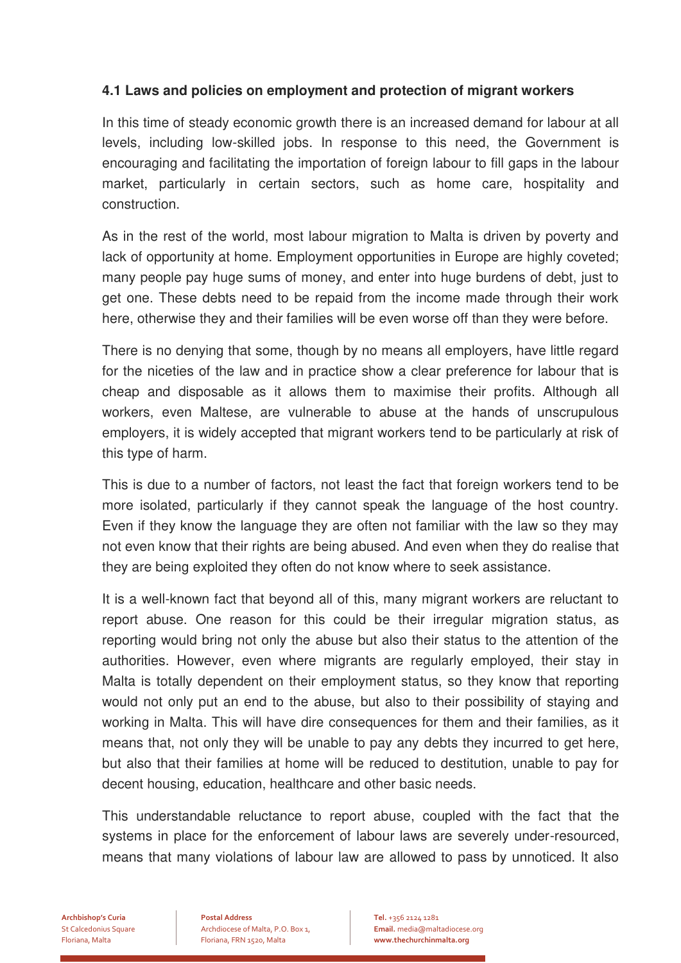#### **4.1 Laws and policies on employment and protection of migrant workers**

In this time of steady economic growth there is an increased demand for labour at all levels, including low-skilled jobs. In response to this need, the Government is encouraging and facilitating the importation of foreign labour to fill gaps in the labour market, particularly in certain sectors, such as home care, hospitality and construction.

As in the rest of the world, most labour migration to Malta is driven by poverty and lack of opportunity at home. Employment opportunities in Europe are highly coveted; many people pay huge sums of money, and enter into huge burdens of debt, just to get one. These debts need to be repaid from the income made through their work here, otherwise they and their families will be even worse off than they were before.

There is no denying that some, though by no means all employers, have little regard for the niceties of the law and in practice show a clear preference for labour that is cheap and disposable as it allows them to maximise their profits. Although all workers, even Maltese, are vulnerable to abuse at the hands of unscrupulous employers, it is widely accepted that migrant workers tend to be particularly at risk of this type of harm.

This is due to a number of factors, not least the fact that foreign workers tend to be more isolated, particularly if they cannot speak the language of the host country. Even if they know the language they are often not familiar with the law so they may not even know that their rights are being abused. And even when they do realise that they are being exploited they often do not know where to seek assistance.

It is a well-known fact that beyond all of this, many migrant workers are reluctant to report abuse. One reason for this could be their irregular migration status, as reporting would bring not only the abuse but also their status to the attention of the authorities. However, even where migrants are regularly employed, their stay in Malta is totally dependent on their employment status, so they know that reporting would not only put an end to the abuse, but also to their possibility of staying and working in Malta. This will have dire consequences for them and their families, as it means that, not only they will be unable to pay any debts they incurred to get here, but also that their families at home will be reduced to destitution, unable to pay for decent housing, education, healthcare and other basic needs.

This understandable reluctance to report abuse, coupled with the fact that the systems in place for the enforcement of labour laws are severely under-resourced, means that many violations of labour law are allowed to pass by unnoticed. It also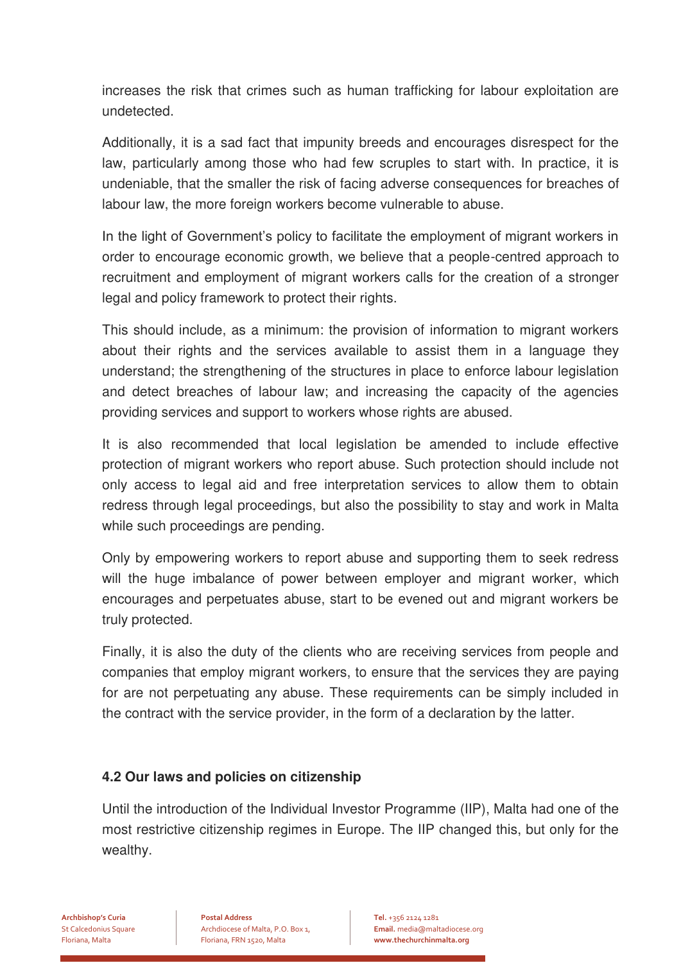increases the risk that crimes such as human trafficking for labour exploitation are undetected.

Additionally, it is a sad fact that impunity breeds and encourages disrespect for the law, particularly among those who had few scruples to start with. In practice, it is undeniable, that the smaller the risk of facing adverse consequences for breaches of labour law, the more foreign workers become vulnerable to abuse.

In the light of Government"s policy to facilitate the employment of migrant workers in order to encourage economic growth, we believe that a people-centred approach to recruitment and employment of migrant workers calls for the creation of a stronger legal and policy framework to protect their rights.

This should include, as a minimum: the provision of information to migrant workers about their rights and the services available to assist them in a language they understand; the strengthening of the structures in place to enforce labour legislation and detect breaches of labour law; and increasing the capacity of the agencies providing services and support to workers whose rights are abused.

It is also recommended that local legislation be amended to include effective protection of migrant workers who report abuse. Such protection should include not only access to legal aid and free interpretation services to allow them to obtain redress through legal proceedings, but also the possibility to stay and work in Malta while such proceedings are pending.

Only by empowering workers to report abuse and supporting them to seek redress will the huge imbalance of power between employer and migrant worker, which encourages and perpetuates abuse, start to be evened out and migrant workers be truly protected.

Finally, it is also the duty of the clients who are receiving services from people and companies that employ migrant workers, to ensure that the services they are paying for are not perpetuating any abuse. These requirements can be simply included in the contract with the service provider, in the form of a declaration by the latter.

#### **4.2 Our laws and policies on citizenship**

Until the introduction of the Individual Investor Programme (IIP), Malta had one of the most restrictive citizenship regimes in Europe. The IIP changed this, but only for the wealthy.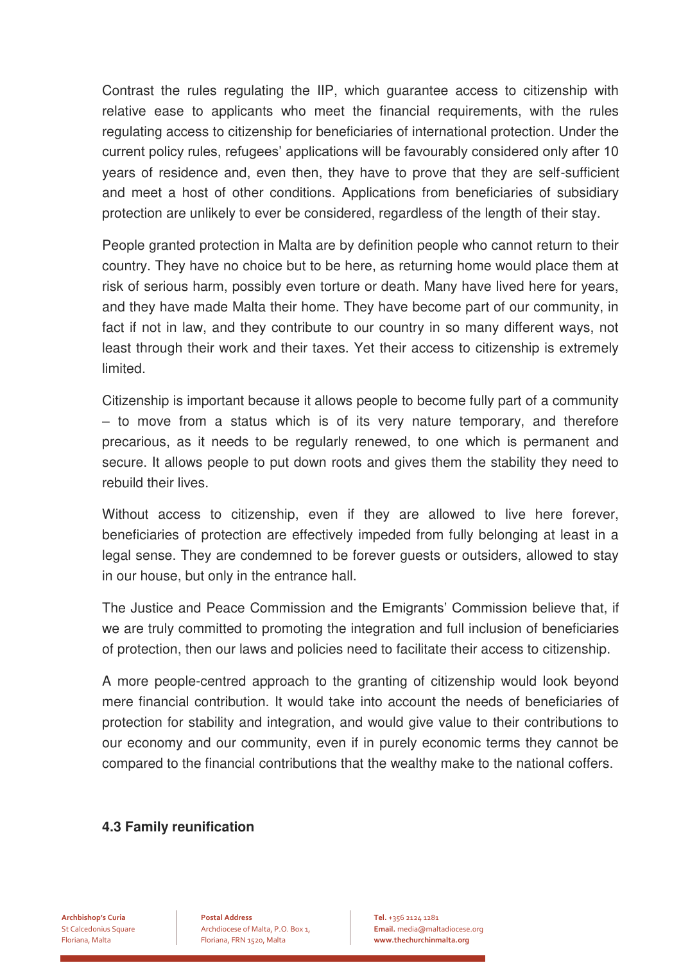Contrast the rules regulating the IIP, which guarantee access to citizenship with relative ease to applicants who meet the financial requirements, with the rules regulating access to citizenship for beneficiaries of international protection. Under the current policy rules, refugees' applications will be favourably considered only after 10 years of residence and, even then, they have to prove that they are self-sufficient and meet a host of other conditions. Applications from beneficiaries of subsidiary protection are unlikely to ever be considered, regardless of the length of their stay.

People granted protection in Malta are by definition people who cannot return to their country. They have no choice but to be here, as returning home would place them at risk of serious harm, possibly even torture or death. Many have lived here for years, and they have made Malta their home. They have become part of our community, in fact if not in law, and they contribute to our country in so many different ways, not least through their work and their taxes. Yet their access to citizenship is extremely limited.

Citizenship is important because it allows people to become fully part of a community – to move from a status which is of its very nature temporary, and therefore precarious, as it needs to be regularly renewed, to one which is permanent and secure. It allows people to put down roots and gives them the stability they need to rebuild their lives.

Without access to citizenship, even if they are allowed to live here forever, beneficiaries of protection are effectively impeded from fully belonging at least in a legal sense. They are condemned to be forever guests or outsiders, allowed to stay in our house, but only in the entrance hall.

The Justice and Peace Commission and the Emigrants" Commission believe that, if we are truly committed to promoting the integration and full inclusion of beneficiaries of protection, then our laws and policies need to facilitate their access to citizenship.

A more people-centred approach to the granting of citizenship would look beyond mere financial contribution. It would take into account the needs of beneficiaries of protection for stability and integration, and would give value to their contributions to our economy and our community, even if in purely economic terms they cannot be compared to the financial contributions that the wealthy make to the national coffers.

#### **4.3 Family reunification**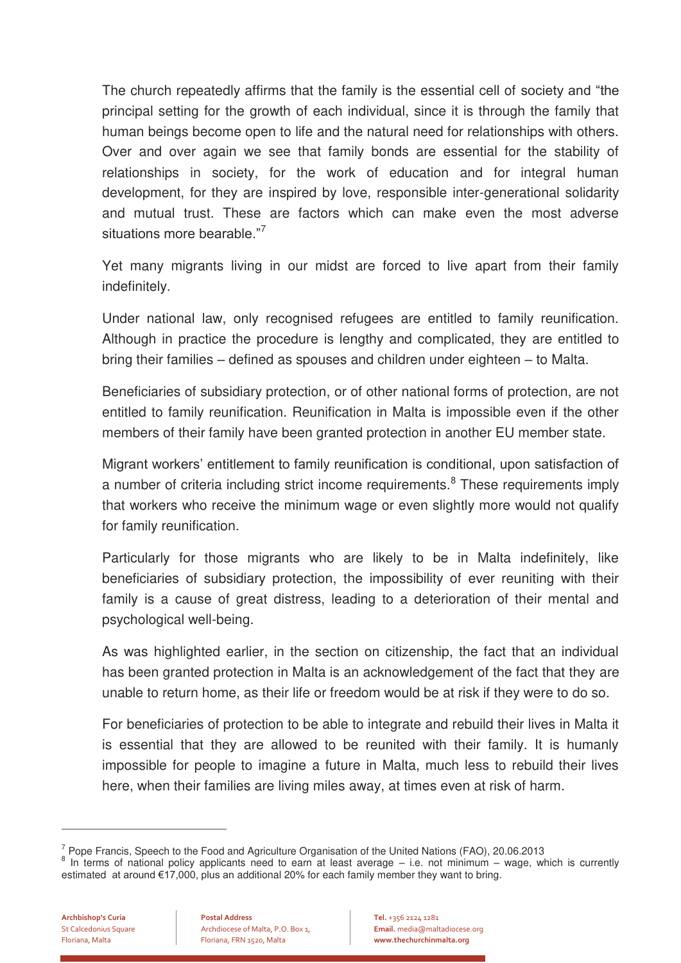The church repeatedly affirms that the family is the essential cell of society and "the principal setting for the growth of each individual, since it is through the family that human beings become open to life and the natural need for relationships with others. Over and over again we see that family bonds are essential for the stability of relationships in society, for the work of education and for integral human development, for they are inspired by love, responsible inter-generational solidarity and mutual trust. These are factors which can make even the most adverse situations more bearable "7

Yet many migrants living in our midst are forced to live apart from their family indefinitely.

Under national law, only recognised refugees are entitled to family reunification. Although in practice the procedure is lengthy and complicated, they are entitled to bring their families – defined as spouses and children under eighteen – to Malta.

Beneficiaries of subsidiary protection, or of other national forms of protection, are not entitled to family reunification. Reunification in Malta is impossible even if the other members of their family have been granted protection in another EU member state.

Migrant workers" entitlement to family reunification is conditional, upon satisfaction of a number of criteria including strict income requirements.<sup>8</sup> These requirements imply that workers who receive the minimum wage or even slightly more would not qualify for family reunification.

Particularly for those migrants who are likely to be in Malta indefinitely, like beneficiaries of subsidiary protection, the impossibility of ever reuniting with their family is a cause of great distress, leading to a deterioration of their mental and psychological well-being.

As was highlighted earlier, in the section on citizenship, the fact that an individual has been granted protection in Malta is an acknowledgement of the fact that they are unable to return home, as their life or freedom would be at risk if they were to do so.

For beneficiaries of protection to be able to integrate and rebuild their lives in Malta it is essential that they are allowed to be reunited with their family. It is humanly impossible for people to imagine a future in Malta, much less to rebuild their lives here, when their families are living miles away, at times even at risk of harm.

 $\frac{7}{2}$  Pope Francis, Speech to the Food and Agriculture Organisation of the United Nations (FAO), 20.06.2013

 $8$  In terms of national policy applicants need to earn at least average  $-$  i.e. not minimum  $-$  wage, which is currently estimated at around €17,000, plus an additional 20% for each family member they want to bring.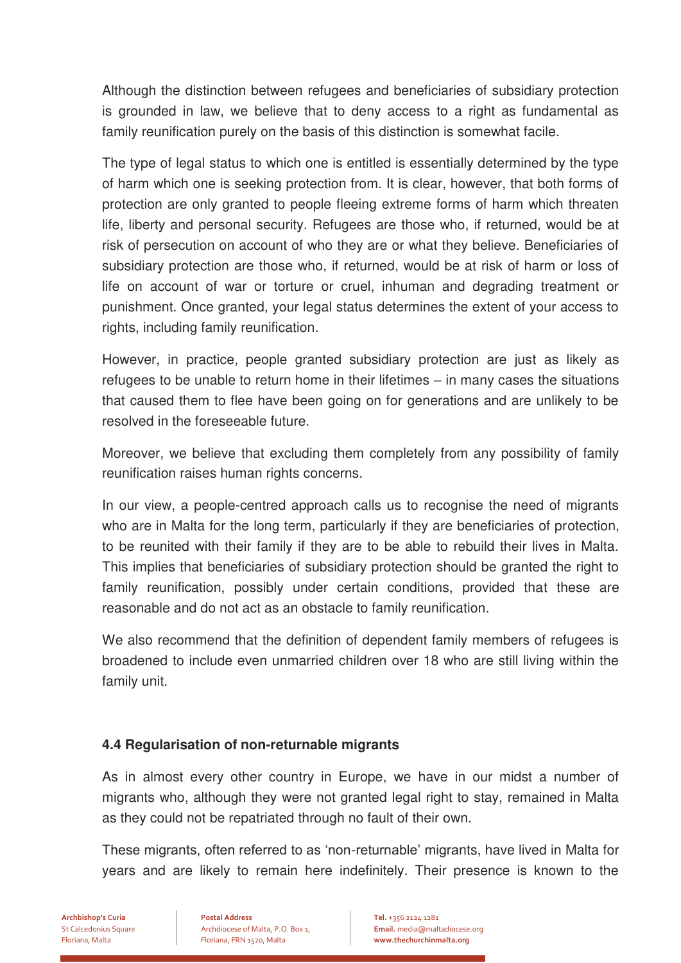Although the distinction between refugees and beneficiaries of subsidiary protection is grounded in law, we believe that to deny access to a right as fundamental as family reunification purely on the basis of this distinction is somewhat facile.

The type of legal status to which one is entitled is essentially determined by the type of harm which one is seeking protection from. It is clear, however, that both forms of protection are only granted to people fleeing extreme forms of harm which threaten life, liberty and personal security. Refugees are those who, if returned, would be at risk of persecution on account of who they are or what they believe. Beneficiaries of subsidiary protection are those who, if returned, would be at risk of harm or loss of life on account of war or torture or cruel, inhuman and degrading treatment or punishment. Once granted, your legal status determines the extent of your access to rights, including family reunification.

However, in practice, people granted subsidiary protection are just as likely as refugees to be unable to return home in their lifetimes – in many cases the situations that caused them to flee have been going on for generations and are unlikely to be resolved in the foreseeable future.

Moreover, we believe that excluding them completely from any possibility of family reunification raises human rights concerns.

In our view, a people-centred approach calls us to recognise the need of migrants who are in Malta for the long term, particularly if they are beneficiaries of protection, to be reunited with their family if they are to be able to rebuild their lives in Malta. This implies that beneficiaries of subsidiary protection should be granted the right to family reunification, possibly under certain conditions, provided that these are reasonable and do not act as an obstacle to family reunification.

We also recommend that the definition of dependent family members of refugees is broadened to include even unmarried children over 18 who are still living within the family unit.

#### **4.4 Regularisation of non-returnable migrants**

As in almost every other country in Europe, we have in our midst a number of migrants who, although they were not granted legal right to stay, remained in Malta as they could not be repatriated through no fault of their own.

These migrants, often referred to as "non-returnable" migrants, have lived in Malta for years and are likely to remain here indefinitely. Their presence is known to the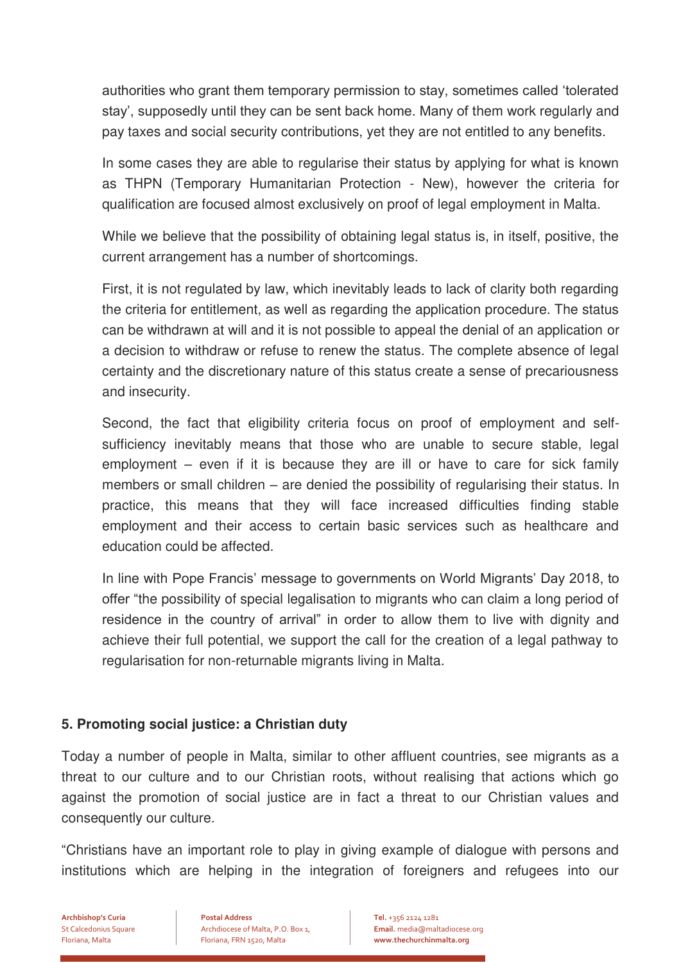authorities who grant them temporary permission to stay, sometimes called "tolerated stay", supposedly until they can be sent back home. Many of them work regularly and pay taxes and social security contributions, yet they are not entitled to any benefits.

In some cases they are able to regularise their status by applying for what is known as THPN (Temporary Humanitarian Protection - New), however the criteria for qualification are focused almost exclusively on proof of legal employment in Malta.

While we believe that the possibility of obtaining legal status is, in itself, positive, the current arrangement has a number of shortcomings.

First, it is not regulated by law, which inevitably leads to lack of clarity both regarding the criteria for entitlement, as well as regarding the application procedure. The status can be withdrawn at will and it is not possible to appeal the denial of an application or a decision to withdraw or refuse to renew the status. The complete absence of legal certainty and the discretionary nature of this status create a sense of precariousness and insecurity.

Second, the fact that eligibility criteria focus on proof of employment and selfsufficiency inevitably means that those who are unable to secure stable, legal employment – even if it is because they are ill or have to care for sick family members or small children – are denied the possibility of regularising their status. In practice, this means that they will face increased difficulties finding stable employment and their access to certain basic services such as healthcare and education could be affected.

In line with Pope Francis' message to governments on World Migrants' Day 2018, to offer "the possibility of special legalisation to migrants who can claim a long period of residence in the country of arrival" in order to allow them to live with dignity and achieve their full potential, we support the call for the creation of a legal pathway to regularisation for non-returnable migrants living in Malta.

#### **5. Promoting social justice: a Christian duty**

Today a number of people in Malta, similar to other affluent countries, see migrants as a threat to our culture and to our Christian roots, without realising that actions which go against the promotion of social justice are in fact a threat to our Christian values and consequently our culture.

"Christians have an important role to play in giving example of dialogue with persons and institutions which are helping in the integration of foreigners and refugees into our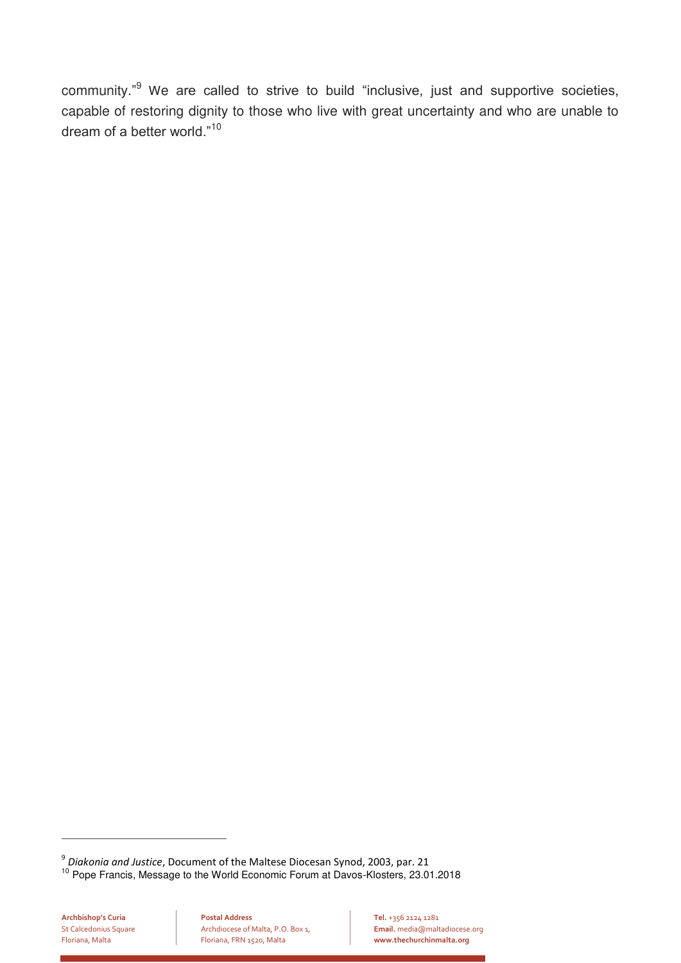community."<sup>9</sup> We are called to strive to build "inclusive, just and supportive societies, capable of restoring dignity to those who live with great uncertainty and who are unable to dream of a better world."<sup>10</sup>

<sup>10</sup> Pope Francis, Message to the World Economic Forum at Davos-Klosters, 23.01.2018

 $\overline{a}$ 

<sup>9</sup> *Diakonia and Justice*, Document of the Maltese Diocesan Synod, 2003, par. 21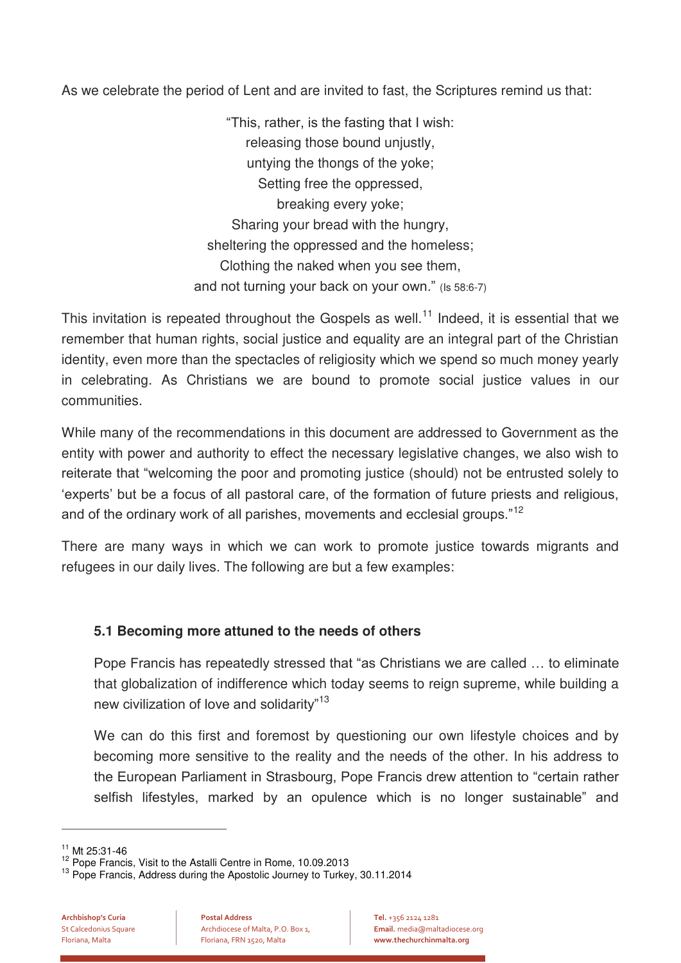As we celebrate the period of Lent and are invited to fast, the Scriptures remind us that:

"This, rather, is the fasting that I wish: releasing those bound unjustly, untying the thongs of the yoke; Setting free the oppressed, breaking every yoke; Sharing your bread with the hungry, sheltering the oppressed and the homeless; Clothing the naked when you see them, and not turning your back on your own." (Is 58:6-7)

This invitation is repeated throughout the Gospels as well.<sup>11</sup> Indeed, it is essential that we remember that human rights, social justice and equality are an integral part of the Christian identity, even more than the spectacles of religiosity which we spend so much money yearly in celebrating. As Christians we are bound to promote social justice values in our communities.

While many of the recommendations in this document are addressed to Government as the entity with power and authority to effect the necessary legislative changes, we also wish to reiterate that "welcoming the poor and promoting justice (should) not be entrusted solely to "experts" but be a focus of all pastoral care, of the formation of future priests and religious, and of the ordinary work of all parishes, movements and ecclesial groups."<sup>12</sup>

There are many ways in which we can work to promote justice towards migrants and refugees in our daily lives. The following are but a few examples:

# **5.1 Becoming more attuned to the needs of others**

Pope Francis has repeatedly stressed that "as Christians we are called … to eliminate that globalization of indifference which today seems to reign supreme, while building a new civilization of love and solidarity"<sup>13</sup>

We can do this first and foremost by questioning our own lifestyle choices and by becoming more sensitive to the reality and the needs of the other. In his address to the European Parliament in Strasbourg, Pope Francis drew attention to "certain rather selfish lifestyles, marked by an opulence which is no longer sustainable" and

<sup>11</sup> Mt 25:31-46

<sup>&</sup>lt;sup>12</sup> Pope Francis, Visit to the Astalli Centre in Rome, 10.09.2013

<sup>&</sup>lt;sup>13</sup> Pope Francis, Address during the Apostolic Journey to Turkey, 30.11.2014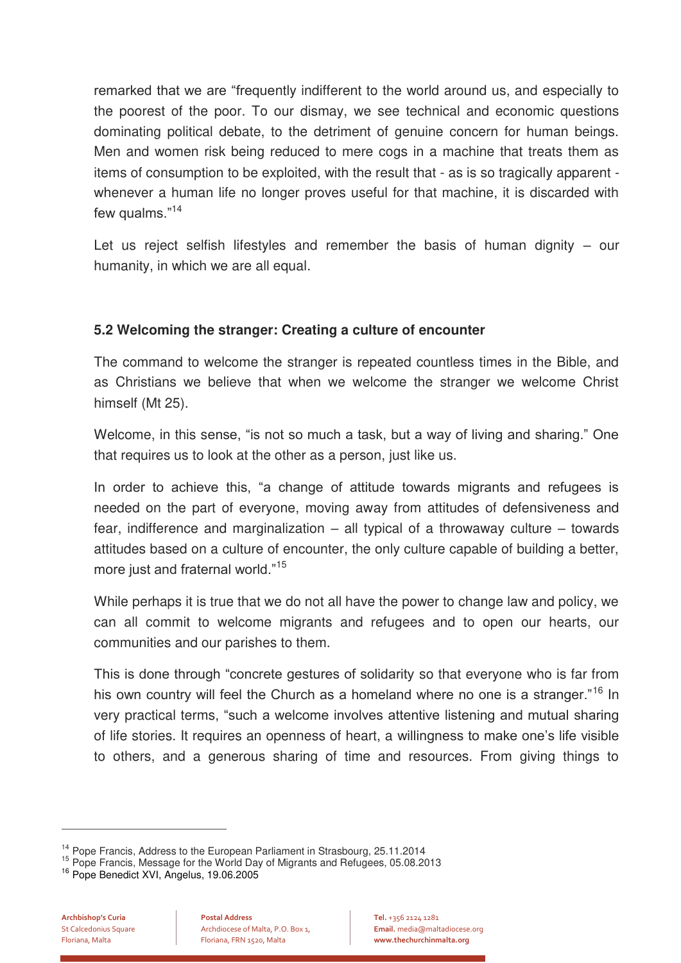remarked that we are "frequently indifferent to the world around us, and especially to the poorest of the poor. To our dismay, we see technical and economic questions dominating political debate, to the detriment of genuine concern for human beings. Men and women risk being reduced to mere cogs in a machine that treats them as items of consumption to be exploited, with the result that - as is so tragically apparent whenever a human life no longer proves useful for that machine, it is discarded with few qualms."<sup>14</sup>

Let us reject selfish lifestyles and remember the basis of human dignity – our humanity, in which we are all equal.

### **5.2 Welcoming the stranger: Creating a culture of encounter**

The command to welcome the stranger is repeated countless times in the Bible, and as Christians we believe that when we welcome the stranger we welcome Christ himself (Mt 25).

Welcome, in this sense, "is not so much a task, but a way of living and sharing." One that requires us to look at the other as a person, just like us.

In order to achieve this, "a change of attitude towards migrants and refugees is needed on the part of everyone, moving away from attitudes of defensiveness and fear, indifference and marginalization – all typical of a throwaway culture – towards attitudes based on a culture of encounter, the only culture capable of building a better, more just and fraternal world."<sup>15</sup>

While perhaps it is true that we do not all have the power to change law and policy, we can all commit to welcome migrants and refugees and to open our hearts, our communities and our parishes to them.

This is done through "concrete gestures of solidarity so that everyone who is far from his own country will feel the Church as a homeland where no one is a stranger."<sup>16</sup> In very practical terms, "such a welcome involves attentive listening and mutual sharing of life stories. It requires an openness of heart, a willingness to make one"s life visible to others, and a generous sharing of time and resources. From giving things to

<sup>&</sup>lt;sup>14</sup> Pope Francis, Address to the European Parliament in Strasbourg, 25.11.2014

<sup>&</sup>lt;sup>15</sup> Pope Francis, Message for the World Day of Migrants and Refugees, 05.08.2013

<sup>16</sup> Pope Benedict XVI, Angelus, 19.06.2005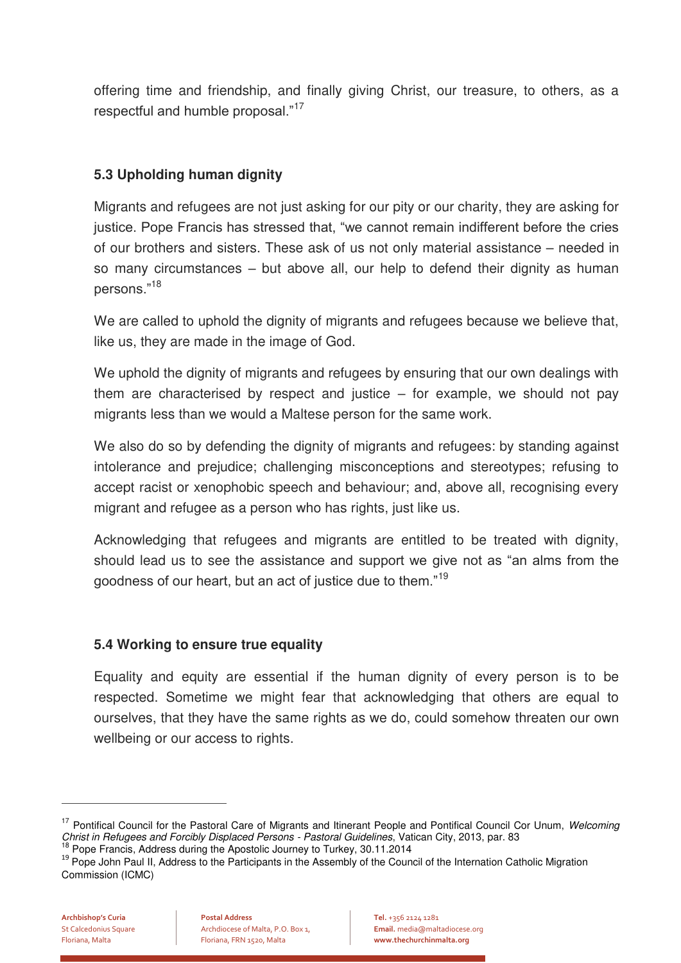offering time and friendship, and finally giving Christ, our treasure, to others, as a respectful and humble proposal."<sup>17</sup>

## **5.3 Upholding human dignity**

Migrants and refugees are not just asking for our pity or our charity, they are asking for justice. Pope Francis has stressed that, "we cannot remain indifferent before the cries of our brothers and sisters. These ask of us not only material assistance – needed in so many circumstances – but above all, our help to defend their dignity as human persons."<sup>18</sup>

We are called to uphold the dignity of migrants and refugees because we believe that, like us, they are made in the image of God.

We uphold the dignity of migrants and refugees by ensuring that our own dealings with them are characterised by respect and justice – for example, we should not pay migrants less than we would a Maltese person for the same work.

We also do so by defending the dignity of migrants and refugees: by standing against intolerance and prejudice; challenging misconceptions and stereotypes; refusing to accept racist or xenophobic speech and behaviour; and, above all, recognising every migrant and refugee as a person who has rights, just like us.

Acknowledging that refugees and migrants are entitled to be treated with dignity, should lead us to see the assistance and support we give not as "an alms from the goodness of our heart, but an act of justice due to them."<sup>19</sup>

#### **5.4 Working to ensure true equality**

Equality and equity are essential if the human dignity of every person is to be respected. Sometime we might fear that acknowledging that others are equal to ourselves, that they have the same rights as we do, could somehow threaten our own wellbeing or our access to rights.

<sup>17</sup> Pontifical Council for the Pastoral Care of Migrants and Itinerant People and Pontifical Council Cor Unum, *Welcoming Christ in Refugees and Forcibly Displaced Persons - Pastoral Guidelines*, Vatican City, 2013, par. 83

<sup>&</sup>lt;sup>18</sup> Pope Francis, Address during the Apostolic Journey to Turkey, 30.11.2014

<sup>&</sup>lt;sup>19</sup> Pope John Paul II, Address to the Participants in the Assembly of the Council of the Internation Catholic Migration Commission (ICMC)